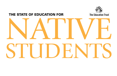## THE STATE OF EDUCATION FOR



# NATIVE STUDENTS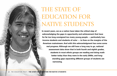# THE STATE OF EDUCATION FOR NATIVE STUDENTS

**In recent years, we as a nation have taken the critical step of acknowledging the gaps in opportunity and achievement that have for far too long consigned too many young people — particularly lowincome students and students of color — to lives on the margins of the American mainstream. And with this acknowledgment has come some real progress. Although we still have a long way to go, national assessment data show that in both fourth and eighth grades, students in most ethnic groups are reading and doing math better today than they were in the early 2000s, and longstanding gaps separating different groups of students are narrowing.**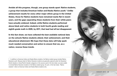**Amidst all this progress, though, one group stands apart: Native students, a group that includes American Indian and Alaska Native youth.1 Unlike achievement results for every other major ethnic group in the United States, those for Native students have remained nearly flat in recent years, and the gaps separating these students from their white peers have actually widened. Indeed, while Native students performed above black and Latino students in both fourth-grade reading and eighth-grade math in 2005, by 2011, that lead had all but disappeared.**

**In this fact sheet, we have collected the best available national data on the schools Native students attend, their achievement, and their educational attainment. We hope that these data will help spark much needed conversation and action to ensure that we, as a nation, reverse these trends.** 

1 In addition to American Indian and Alaska Native students, the Native student group includes Native Hawaiian youth. Because data for Native Hawaiian students are generally captured under the Hawaiian/ Pacific Islander or Asian/Pacific Islander categories in the sources used in this fact sheet, we were unable to include Native Hawaiian students in the Native student group. As such, in this fact sheet, "Native students" refers to American Indian and Alaska Native students only.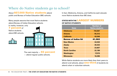## **Where do Native students go to school?**

About 607,000 Native students attend public and Bureau of Indian Education (BIE) schools.

Many people assume that most Native students attend Bureau of Indian Education schools.

In reality, however, only 7 percent of

Native students attend BIE schools.



The vast majority  $-93$  percent — attend regular public schools.

In fact, Oklahoma, Arizona, and California each educate more Native students than BIE does.

#### **STATES WITH THE** LARGEST NUMBERS **OF NATIVE STUDENTS**

| <b>State</b>               | <b>Number of</b><br><b>Native students</b> |
|----------------------------|--------------------------------------------|
| <b>Oklahoma</b>            | 116,597                                    |
| <b>Arizona</b>             | 55,312                                     |
| <b>California</b>          | 43,546                                     |
| <b>Bureau of Indian Ed</b> | 41,962                                     |
| <b>New Mexico</b>          | 34,530                                     |
| <b>Alaska</b>              | 30,433                                     |
| <b>Texas</b>               | 23,607                                     |
| <b>North Carolina</b>      | 22,199                                     |
| Washington                 | 17.570                                     |
| <b>Minnesota</b>           | 16,296                                     |

While Native students are more likely than their peers to attend rural schools, about **One-third** of students do attend urban or suburban schools.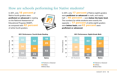## **How are schools performing for Native students?**

In 2011, only 18 percent of Native fourth-graders were proficient or advanced in reading on the National Assessment of Educational Progress (NAEP), as compared with **42 percent** of white fourth-graders.

34

 $\Omega$ 

20

Percent of Students

Percent of Students



■ Proficient or Advanced

■ At Basic ■ Below Basic

In 2011, only 17 percent of Native eighth-graders were **proficient or advanced** in math, and nearly half  $-46$  percent  $-$  were below the basic level. The numbers for white students were exactly the opposite  $-17$  percent of white eighth-graders were below basic, and **43 percent** were proficient or advanced.

2011 Performance: Eighth-Grade Math



■ Proficient or Advanced ■ At Basic ■ Below Basic



All Students White Native

23

#### 2011 Performance: Fourth-Grade Reading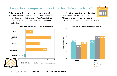## **Have schools improved over time for Native students?**

Performance for Native students has not improved over time. While fourth-grade reading performance of every other major ethnic group on NAEP rose between 2005 and 2011, results for Native students have been virtually flat.

In fact, Native students were performing better in fourth-grade reading than African American and Latino students in 2005, but that lead had disappeared by 2011.



#### 2005–2011 Change in NAEP scale scores (scale score points) -2 02468 **White** Asian/ Pacific Islander Latino African American Native –0.5 6.0 7.0 2.1 4.1



NAEP Performance: Fourth-Grade Reading

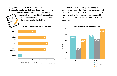In eighth-grade math, the trends are nearly the same: Once again, results for Native students improved more slowly than those for every other ethnic



group. Rather than catching these students up, our education system is letting them slip further and further behind.

As was the case with fourth-grade reading, Native students were outperforming African American and Latino students in eighth-grade math in 2005. By 2011, however, Latino eighth-graders had surpassed Native students, and African American students had nearly caught up.

2005–2011 Improvement: Eighth-Grade Math



2005–2011 Change in NAEP scale scores (scale score points)

NAEP Performance: Eighth-Grade Math

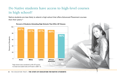## **Do Native students have access to high-level courses in high school?**

Native students are less likely to attend a high school that offers Advanced Placement courses than their peers.\*



Percent of Students Attending High Schools That Offer AP Classes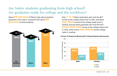## **Are Native students graduating from high school? Are graduates ready for college and the workforce?**

About 69 percent of Native high school students graduate in four years, compared with about  $83$ **percent** of white students.



Only 1 in 4 Native graduates who took the ACT scored at the college-ready level in math, and about **one-third** scored at the college-ready level in reading. Among white graduates who took the ACT, **more than half** scored at the college-ready level in math, while nearly **two-thirds** scored college ready in reading.

#### 83% Percent of Graduates Meeting ACT College-Readiness Benchmarks

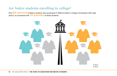## **Are Native students enrolling in college?**

Only 52 percent of Native students who graduated in 2004 enrolled in college immediately after high school, as compared with 74 percent of white students.

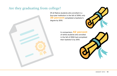## **Are they graduating from college?**

Of all Native students who enrolled in a four-year institution in the fall of 2004, only **39 percent** completed a bachelor's degree by 2010.



In comparison, 62 percent of white students who enrolled in the fall of 2004 had completed their bachelor's by 2010.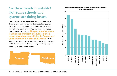## **Are these trends inevitable? No! Some schools and systems are doing better.**

These trends are not inevitable. Although no state is doing as well as it should for Native students, some states are doing far better than others. Consider, for example, the range of NAEP performance for Native fourth-graders in reading. **The percent of students reaching the proficient or advanced levels was at least three times higher in Oregon and Oklahoma than in Alaska and Arizona.** While way too few students are reaching proficiency in Oregon and Oklahoma, it's worth inspecting what's going on in these higher performing states.





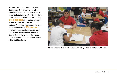And some schools prove what's possible. Calcedeaver Elementary is a pre-K–6 school in Alabama where more than 80 percent of students are American Indian, and 80 percent are low income. In 2012, **61 percent** of Calcedeaver's sixthgraders scored at the advanced level in math on Alabama's state assessment, as compared with only 35 percent of all sixth-graders statewide. Schools like Calcedeaver show that, with the right instruction and supports, Native students — like all other students — can achieve at high levels.



**Classroom instruction at Calcedeaver Elementary School in Mt. Vernon, Alabama.**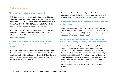### **Data Sources**

#### Where do Native students go to school?

- U.S. Department of Education, National Center for Education Statistics, "Public Elementary and Secondary School Student Enrollment and Staff Counts From the Common Core of Data: School Year 2010–11," Table 2 (Washington, D.C.: April 2012), **[http://nces.ed.gov/pubs2012/snf201011/index.asp](http://)**.
- U.S. Department of Education, National Center for Education Statistics, "Condition of Education 2012," Table A-13-2 (Washington, D.C.: 2012), **[http://nces.ed.gov/](http://nces.ed.gov/pubs2012/2012045.pdf) [pubs2012/2012045.pdf](http://nces.ed.gov/pubs2012/2012045.pdf)**.

#### How are schools performing for Native students? Have schools improved over time for Native students?

• **NAEP results for American Indian and Alaska Native students:**  U.S. Department of Education, National Center for Education Statistics, National Indian Education Study NAEP Data Explorer, **[http://nces.ed.gov/nationsreportcard/naepdata/](http://nces.ed.gov/nationsreportcard/naepdata/%20)** (Results include public and BIE schools).

• **NAEP results for all other student group:** U.S. Department of Education, National Center for Education Statistics, Main NAEP Data Explorer, **<http://nces.ed.gov/nationsreportcard/naepdata/>**.

#### Do Native students have access to high-level courses in high school?

• Christina Theokas and Reid Saaris, *Finding America's Missing AP and IB students* (Washington, D.C.: The Education Trust and Equal Opportunity Schools, June 2013), **[http://www.edtrust.org/sites/](http://www.edtrust.org/sites/edtrust.org/files/Missing_Students.pdf) [edtrust.org/files/Missing\\_Students.pdf](http://www.edtrust.org/sites/edtrust.org/files/Missing_Students.pdf)**.

#### Are Native students graduating from high school? Are graduates ready for college and the workforce?

• **Graduation Rates:** U.S. Department of Education, National Center for Education Statistics, "Public School Graduates and Dropouts from the Common Core of Data: School Year 2009–10" (Washington, D.C.: January 2013), **[http://nces.ed.gov/](http://nces.ed.gov/pubs2013/2013309rev.pdf) [pubs2013/2013309rev.pdf](http://nces.ed.gov/pubs2013/2013309rev.pdf)**. The National Center for Education Statistics report provides estimates of the percentages of high school students who graduate on time using the Averaged Freshman Graduation Rate method. For more information, please see the report cited above. Results do not include BIE schools.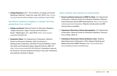• **College-Readiness:** ACT, "The Condition of College and Career Readiness: National" (Iowa City, Iowa: ACT, 2012), **[http://www.](http://www.act.org/research-policy/college-career-readiness-report-2012/) [act.org/research-policy/college-career-readiness-report-2012/](http://www.act.org/research-policy/college-career-readiness-report-2012/)**.

#### Are Native students enrolling in college? Are they graduating from college?

- **College enrollment:** National Center for Education Statistics, "Higher Education: Gaps in Access and Persistence Study" (Washington, D.C.: April 2012), **[http://nces.ed.gov/](http://nces.ed.gov/pubs2012/2012046.pdf) [pubs2012/2012046.pdf](http://nces.ed.gov/pubs2012/2012046.pdf)**.
- **Graduation Rates:** U.S. Department of Education, National Center for Education Statistics. 2012. Enrollment in Postsecondary Institutions, Fall 2010; Financial Statistics, Fiscal Year 2010; and Graduation Rates, Selected Cohorts, 2002–07, **<http://nces.ed.gov/pubs2012/2012280.pdf>**. Graduation rates are for first-time, full-time students enrolling in four-year institutions and seeking a bachelor's degree.

#### Some schools and systems are doing better

- **Percent proficient/advanced on NAEP by State:** U.S. Department of Education, National Center for Education Statistics, National Indian Education Study NAEP Data Explorer, **[http://nces.ed.gov/](http://nces.ed.gov/nationsreportcard/naepdata/) [nationsreportcard/naepdata/](http://nces.ed.gov/nationsreportcard/naepdata/)** (Results include public and BIE schools where available).
- **Calcedeaver Elementary School demographics:** U.S. Department of Education, National Center for Education Statistics, Common Core of Data, 2009–10.
- **Calcedeaver Elementary School proficiency rates:** Alabama State Department of Education, 2012, Alabama Reading and Mathematics Test (ARMT) Results, **[http://www.alsde.edu/](http://www.alsde.edu/Accountability/preAccountability.asp) [Accountability/preAccountability.asp](http://www.alsde.edu/Accountability/preAccountability.asp)**.